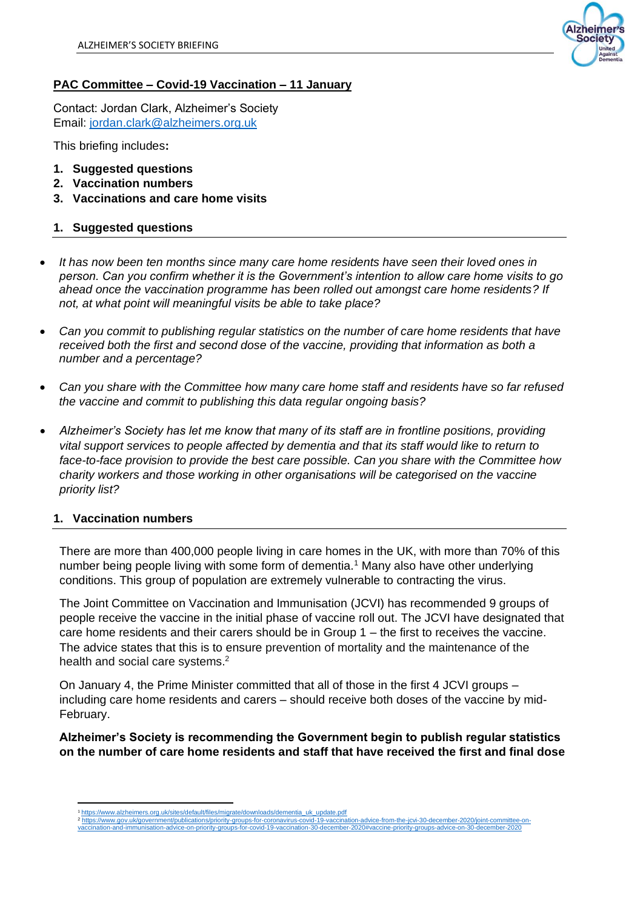

# **PAC Committee – Covid-19 Vaccination – 11 January**

Contact: Jordan Clark, Alzheimer's Society Email: [jordan.clark@alzheimers.org.uk](mailto:jordan.clark@alzheimers.org.uk)

This briefing includes**:**

- **1. Suggested questions**
- **2. Vaccination numbers**
- **3. Vaccinations and care home visits**

## **1. Suggested questions**

- *It has now been ten months since many care home residents have seen their loved ones in person. Can you confirm whether it is the Government's intention to allow care home visits to go ahead once the vaccination programme has been rolled out amongst care home residents? If not, at what point will meaningful visits be able to take place?*
- *Can you commit to publishing regular statistics on the number of care home residents that have*  received both the first and second dose of the vaccine, providing that information as both a *number and a percentage?*
- *Can you share with the Committee how many care home staff and residents have so far refused the vaccine and commit to publishing this data regular ongoing basis?*
- *Alzheimer's Society has let me know that many of its staff are in frontline positions, providing vital support services to people affected by dementia and that its staff would like to return to face-to-face provision to provide the best care possible. Can you share with the Committee how charity workers and those working in other organisations will be categorised on the vaccine priority list?*

### **1. Vaccination numbers**

There are more than 400,000 people living in care homes in the UK, with more than 70% of this number being people living with some form of dementia.<sup>1</sup> Many also have other underlying conditions. This group of population are extremely vulnerable to contracting the virus.

The Joint Committee on Vaccination and Immunisation (JCVI) has recommended 9 groups of people receive the vaccine in the initial phase of vaccine roll out. The JCVI have designated that care home residents and their carers should be in Group 1 – the first to receives the vaccine. The advice states that this is to ensure prevention of mortality and the maintenance of the health and social care systems.<sup>2</sup>

On January 4, the Prime Minister committed that all of those in the first 4 JCVI groups – including care home residents and carers – should receive both doses of the vaccine by mid-February.

**Alzheimer's Society is recommending the Government begin to publish regular statistics on the number of care home residents and staff that have received the first and final dose** 

[https://www.alzheimers.org.uk/sites/default/files/migrate/downloads/dementia\\_uk\\_update.pdf](https://www.alzheimers.org.uk/sites/default/files/migrate/downloads/dementia_uk_update.pdf)

<sup>2</sup> [https://www.gov.uk/government/publications/priority-groups-for-coronavirus-covid-19-vaccination-advice-from-the-jcvi-30-december-2020/joint-committee-on](https://www.gov.uk/government/publications/priority-groups-for-coronavirus-covid-19-vaccination-advice-from-the-jcvi-30-december-2020/joint-committee-on-vaccination-and-immunisation-advice-on-priority-groups-for-covid-19-vaccination-30-december-2020#vaccine-priority-groups-advice-on-30-december-2020)[vaccination-and-immunisation-advice-on-priority-groups-for-covid-19-vaccination-30-december-2020#vaccine-priority-groups-advice-on-30-december-2020](https://www.gov.uk/government/publications/priority-groups-for-coronavirus-covid-19-vaccination-advice-from-the-jcvi-30-december-2020/joint-committee-on-vaccination-and-immunisation-advice-on-priority-groups-for-covid-19-vaccination-30-december-2020#vaccine-priority-groups-advice-on-30-december-2020)